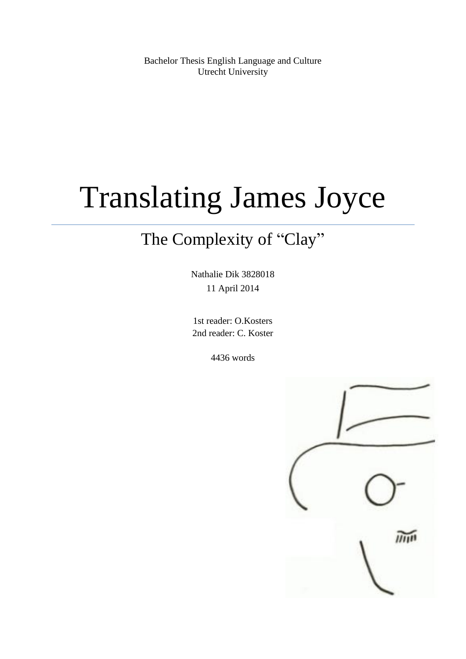Bachelor Thesis English Language and Culture Utrecht University

# Translating James Joyce

## The Complexity of "Clay"

Nathalie Dik 3828018 11 April 2014

1st reader: O.Kosters 2nd reader: C. Koster

4436 words

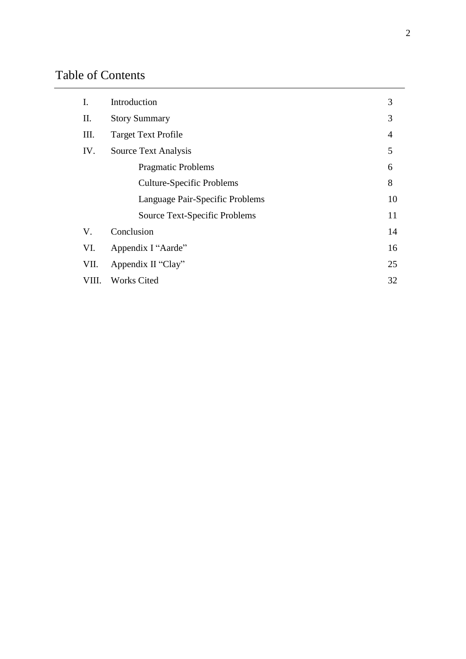### Table of Contents

| I.    | Introduction                     | 3              |
|-------|----------------------------------|----------------|
| П.    | <b>Story Summary</b>             | 3              |
| III.  | <b>Target Text Profile</b>       | $\overline{4}$ |
| IV.   | Source Text Analysis             | 5              |
|       | <b>Pragmatic Problems</b>        | 6              |
|       | <b>Culture-Specific Problems</b> | 8              |
|       | Language Pair-Specific Problems  | 10             |
|       | Source Text-Specific Problems    | 11             |
| V.    | Conclusion                       | 14             |
| VI.   | Appendix I "Aarde"               | 16             |
| VII.  | Appendix II "Clay"               | 25             |
| VIII. | <b>Works Cited</b>               | 32             |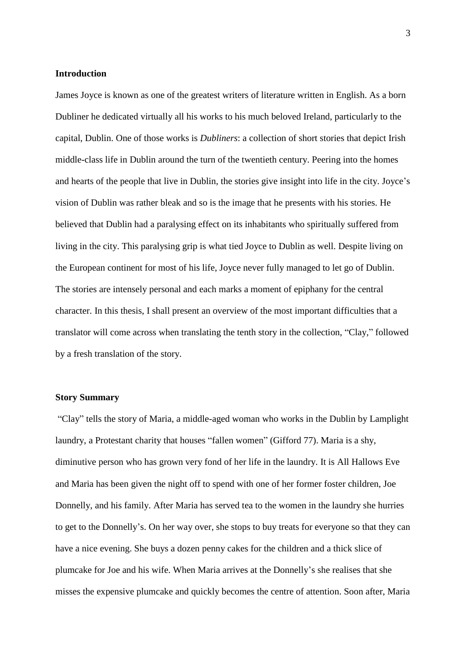#### **Introduction**

James Joyce is known as one of the greatest writers of literature written in English. As a born Dubliner he dedicated virtually all his works to his much beloved Ireland, particularly to the capital, Dublin. One of those works is *Dubliners*: a collection of short stories that depict Irish middle-class life in Dublin around the turn of the twentieth century. Peering into the homes and hearts of the people that live in Dublin, the stories give insight into life in the city. Joyce's vision of Dublin was rather bleak and so is the image that he presents with his stories. He believed that Dublin had a paralysing effect on its inhabitants who spiritually suffered from living in the city. This paralysing grip is what tied Joyce to Dublin as well. Despite living on the European continent for most of his life, Joyce never fully managed to let go of Dublin. The stories are intensely personal and each marks a moment of epiphany for the central character. In this thesis, I shall present an overview of the most important difficulties that a translator will come across when translating the tenth story in the collection, "Clay," followed by a fresh translation of the story.

#### **Story Summary**

"Clay" tells the story of Maria, a middle-aged woman who works in the Dublin by Lamplight laundry, a Protestant charity that houses "fallen women" (Gifford 77). Maria is a shy, diminutive person who has grown very fond of her life in the laundry. It is All Hallows Eve and Maria has been given the night off to spend with one of her former foster children, Joe Donnelly, and his family. After Maria has served tea to the women in the laundry she hurries to get to the Donnelly's. On her way over, she stops to buy treats for everyone so that they can have a nice evening. She buys a dozen penny cakes for the children and a thick slice of plumcake for Joe and his wife. When Maria arrives at the Donnelly's she realises that she misses the expensive plumcake and quickly becomes the centre of attention. Soon after, Maria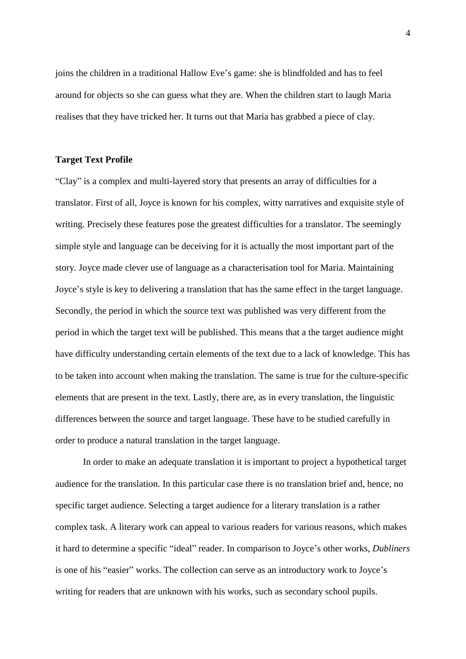joins the children in a traditional Hallow Eve's game: she is blindfolded and has to feel around for objects so she can guess what they are. When the children start to laugh Maria realises that they have tricked her. It turns out that Maria has grabbed a piece of clay.

#### **Target Text Profile**

"Clay" is a complex and multi-layered story that presents an array of difficulties for a translator. First of all, Joyce is known for his complex, witty narratives and exquisite style of writing. Precisely these features pose the greatest difficulties for a translator. The seemingly simple style and language can be deceiving for it is actually the most important part of the story. Joyce made clever use of language as a characterisation tool for Maria. Maintaining Joyce's style is key to delivering a translation that has the same effect in the target language. Secondly, the period in which the source text was published was very different from the period in which the target text will be published. This means that a the target audience might have difficulty understanding certain elements of the text due to a lack of knowledge. This has to be taken into account when making the translation. The same is true for the culture-specific elements that are present in the text. Lastly, there are, as in every translation, the linguistic differences between the source and target language. These have to be studied carefully in order to produce a natural translation in the target language.

In order to make an adequate translation it is important to project a hypothetical target audience for the translation. In this particular case there is no translation brief and, hence, no specific target audience. Selecting a target audience for a literary translation is a rather complex task. A literary work can appeal to various readers for various reasons, which makes it hard to determine a specific "ideal" reader. In comparison to Joyce's other works, *Dubliners*  is one of his "easier" works. The collection can serve as an introductory work to Joyce's writing for readers that are unknown with his works, such as secondary school pupils.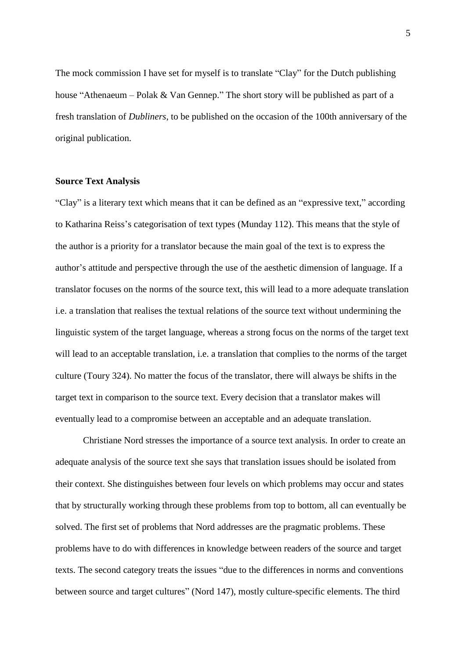The mock commission I have set for myself is to translate "Clay" for the Dutch publishing house "Athenaeum – Polak & Van Gennep." The short story will be published as part of a fresh translation of *Dubliners*, to be published on the occasion of the 100th anniversary of the original publication.

#### **Source Text Analysis**

"Clay" is a literary text which means that it can be defined as an "expressive text," according to Katharina Reiss's categorisation of text types (Munday 112). This means that the style of the author is a priority for a translator because the main goal of the text is to express the author's attitude and perspective through the use of the aesthetic dimension of language. If a translator focuses on the norms of the source text, this will lead to a more adequate translation i.e. a translation that realises the textual relations of the source text without undermining the linguistic system of the target language, whereas a strong focus on the norms of the target text will lead to an acceptable translation, i.e. a translation that complies to the norms of the target culture (Toury 324). No matter the focus of the translator, there will always be shifts in the target text in comparison to the source text. Every decision that a translator makes will eventually lead to a compromise between an acceptable and an adequate translation.

Christiane Nord stresses the importance of a source text analysis. In order to create an adequate analysis of the source text she says that translation issues should be isolated from their context. She distinguishes between four levels on which problems may occur and states that by structurally working through these problems from top to bottom, all can eventually be solved. The first set of problems that Nord addresses are the pragmatic problems. These problems have to do with differences in knowledge between readers of the source and target texts. The second category treats the issues "due to the differences in norms and conventions between source and target cultures" (Nord 147), mostly culture-specific elements. The third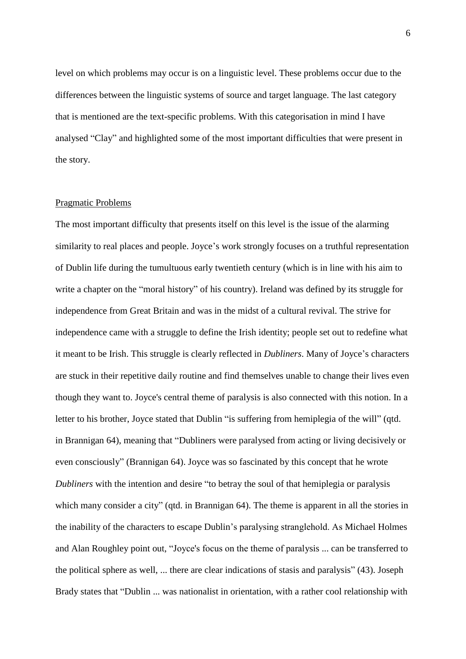level on which problems may occur is on a linguistic level. These problems occur due to the differences between the linguistic systems of source and target language. The last category that is mentioned are the text-specific problems. With this categorisation in mind I have analysed "Clay" and highlighted some of the most important difficulties that were present in the story.

#### Pragmatic Problems

The most important difficulty that presents itself on this level is the issue of the alarming similarity to real places and people. Joyce's work strongly focuses on a truthful representation of Dublin life during the tumultuous early twentieth century (which is in line with his aim to write a chapter on the "moral history" of his country). Ireland was defined by its struggle for independence from Great Britain and was in the midst of a cultural revival. The strive for independence came with a struggle to define the Irish identity; people set out to redefine what it meant to be Irish. This struggle is clearly reflected in *Dubliners*. Many of Joyce's characters are stuck in their repetitive daily routine and find themselves unable to change their lives even though they want to. Joyce's central theme of paralysis is also connected with this notion. In a letter to his brother, Joyce stated that Dublin "is suffering from hemiplegia of the will" (qtd. in Brannigan 64), meaning that "Dubliners were paralysed from acting or living decisively or even consciously" (Brannigan 64). Joyce was so fascinated by this concept that he wrote *Dubliners* with the intention and desire "to betray the soul of that hemiplegia or paralysis which many consider a city" (qtd. in Brannigan 64). The theme is apparent in all the stories in the inability of the characters to escape Dublin's paralysing stranglehold. As Michael Holmes and Alan Roughley point out, "Joyce's focus on the theme of paralysis ... can be transferred to the political sphere as well, ... there are clear indications of stasis and paralysis" (43). Joseph Brady states that "Dublin ... was nationalist in orientation, with a rather cool relationship with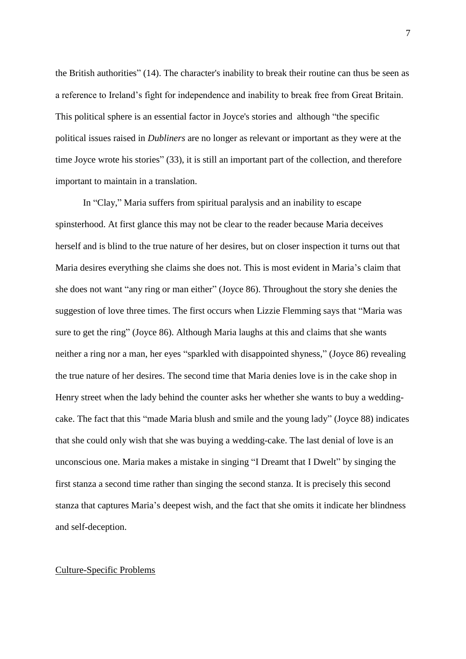the British authorities" (14). The character's inability to break their routine can thus be seen as a reference to Ireland's fight for independence and inability to break free from Great Britain. This political sphere is an essential factor in Joyce's stories and although "the specific political issues raised in *Dubliners* are no longer as relevant or important as they were at the time Joyce wrote his stories" (33), it is still an important part of the collection, and therefore important to maintain in a translation.

In "Clay," Maria suffers from spiritual paralysis and an inability to escape spinsterhood. At first glance this may not be clear to the reader because Maria deceives herself and is blind to the true nature of her desires, but on closer inspection it turns out that Maria desires everything she claims she does not. This is most evident in Maria's claim that she does not want "any ring or man either" (Joyce 86). Throughout the story she denies the suggestion of love three times. The first occurs when Lizzie Flemming says that "Maria was sure to get the ring" (Joyce 86). Although Maria laughs at this and claims that she wants neither a ring nor a man, her eyes "sparkled with disappointed shyness," (Joyce 86) revealing the true nature of her desires. The second time that Maria denies love is in the cake shop in Henry street when the lady behind the counter asks her whether she wants to buy a weddingcake. The fact that this "made Maria blush and smile and the young lady" (Joyce 88) indicates that she could only wish that she was buying a wedding-cake. The last denial of love is an unconscious one. Maria makes a mistake in singing "I Dreamt that I Dwelt" by singing the first stanza a second time rather than singing the second stanza. It is precisely this second stanza that captures Maria's deepest wish, and the fact that she omits it indicate her blindness and self-deception.

#### Culture-Specific Problems

7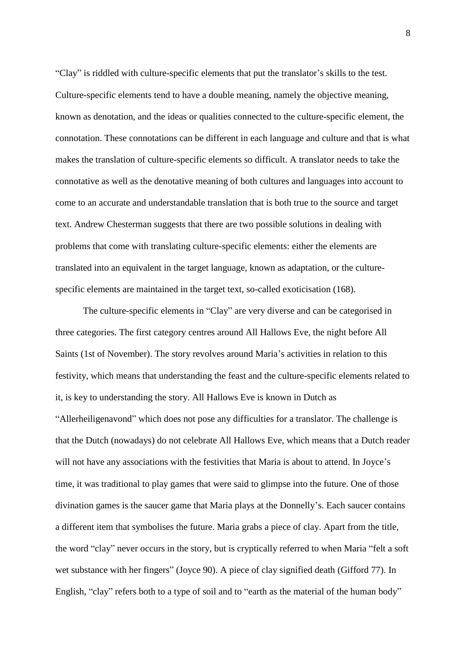"Clay" is riddled with culture-specific elements that put the translator's skills to the test. Culture-specific elements tend to have a double meaning, namely the objective meaning, known as denotation, and the ideas or qualities connected to the culture-specific element, the connotation. These connotations can be different in each language and culture and that is what makes the translation of culture-specific elements so difficult. A translator needs to take the connotative as well as the denotative meaning of both cultures and languages into account to come to an accurate and understandable translation that is both true to the source and target text. Andrew Chesterman suggests that there are two possible solutions in dealing with problems that come with translating culture-specific elements: either the elements are translated into an equivalent in the target language, known as adaptation, or the culturespecific elements are maintained in the target text, so-called exoticisation (168).

The culture-specific elements in "Clay" are very diverse and can be categorised in three categories. The first category centres around All Hallows Eve, the night before All Saints (1st of November). The story revolves around Maria's activities in relation to this festivity, which means that understanding the feast and the culture-specific elements related to it, is key to understanding the story. All Hallows Eve is known in Dutch as "Allerheiligenavond" which does not pose any difficulties for a translator. The challenge is that the Dutch (nowadays) do not celebrate All Hallows Eve, which means that a Dutch reader will not have any associations with the festivities that Maria is about to attend. In Joyce's time, it was traditional to play games that were said to glimpse into the future. One of those divination games is the saucer game that Maria plays at the Donnelly's. Each saucer contains a different item that symbolises the future. Maria grabs a piece of clay. Apart from the title, the word "clay" never occurs in the story, but is cryptically referred to when Maria "felt a soft wet substance with her fingers" (Joyce 90). A piece of clay signified death (Gifford 77). In English, "clay" refers both to a type of soil and to "earth as the material of the human body"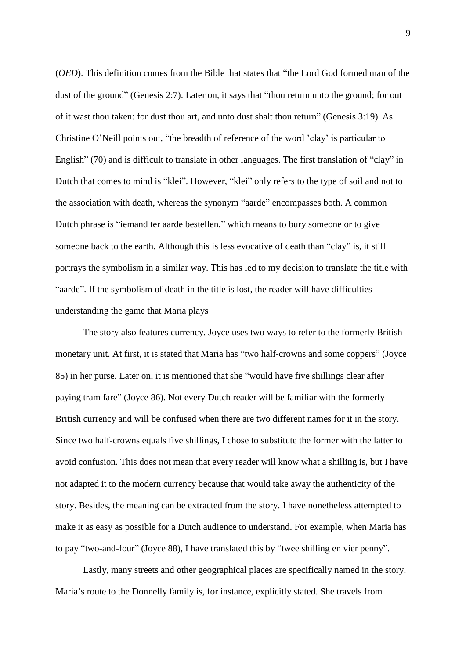(*OED*). This definition comes from the Bible that states that "the Lord God formed man of the dust of the ground" (Genesis 2:7). Later on, it says that "thou return unto the ground; for out of it wast thou taken: for dust thou art, and unto dust shalt thou return" (Genesis 3:19). As Christine O'Neill points out, "the breadth of reference of the word 'clay' is particular to English" (70) and is difficult to translate in other languages. The first translation of "clay" in Dutch that comes to mind is "klei". However, "klei" only refers to the type of soil and not to the association with death, whereas the synonym "aarde" encompasses both. A common Dutch phrase is "iemand ter aarde bestellen," which means to bury someone or to give someone back to the earth. Although this is less evocative of death than "clay" is, it still portrays the symbolism in a similar way. This has led to my decision to translate the title with "aarde". If the symbolism of death in the title is lost, the reader will have difficulties understanding the game that Maria plays

The story also features currency. Joyce uses two ways to refer to the formerly British monetary unit. At first, it is stated that Maria has "two half-crowns and some coppers" (Joyce 85) in her purse. Later on, it is mentioned that she "would have five shillings clear after paying tram fare" (Joyce 86). Not every Dutch reader will be familiar with the formerly British currency and will be confused when there are two different names for it in the story. Since two half-crowns equals five shillings, I chose to substitute the former with the latter to avoid confusion. This does not mean that every reader will know what a shilling is, but I have not adapted it to the modern currency because that would take away the authenticity of the story. Besides, the meaning can be extracted from the story. I have nonetheless attempted to make it as easy as possible for a Dutch audience to understand. For example, when Maria has to pay "two-and-four" (Joyce 88), I have translated this by "twee shilling en vier penny".

Lastly, many streets and other geographical places are specifically named in the story. Maria's route to the Donnelly family is, for instance, explicitly stated. She travels from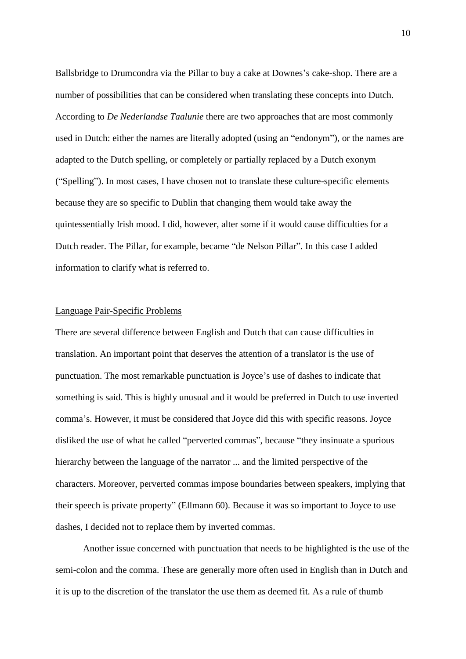Ballsbridge to Drumcondra via the Pillar to buy a cake at Downes's cake-shop. There are a number of possibilities that can be considered when translating these concepts into Dutch. According to *De Nederlandse Taalunie* there are two approaches that are most commonly used in Dutch: either the names are literally adopted (using an "endonym"), or the names are adapted to the Dutch spelling, or completely or partially replaced by a Dutch exonym ("Spelling"). In most cases, I have chosen not to translate these culture-specific elements because they are so specific to Dublin that changing them would take away the quintessentially Irish mood. I did, however, alter some if it would cause difficulties for a Dutch reader. The Pillar, for example, became "de Nelson Pillar". In this case I added information to clarify what is referred to.

#### Language Pair-Specific Problems

There are several difference between English and Dutch that can cause difficulties in translation. An important point that deserves the attention of a translator is the use of punctuation. The most remarkable punctuation is Joyce's use of dashes to indicate that something is said. This is highly unusual and it would be preferred in Dutch to use inverted comma's. However, it must be considered that Joyce did this with specific reasons. Joyce disliked the use of what he called "perverted commas", because "they insinuate a spurious hierarchy between the language of the narrator ... and the limited perspective of the characters. Moreover, perverted commas impose boundaries between speakers, implying that their speech is private property" (Ellmann 60). Because it was so important to Joyce to use dashes, I decided not to replace them by inverted commas.

Another issue concerned with punctuation that needs to be highlighted is the use of the semi-colon and the comma. These are generally more often used in English than in Dutch and it is up to the discretion of the translator the use them as deemed fit. As a rule of thumb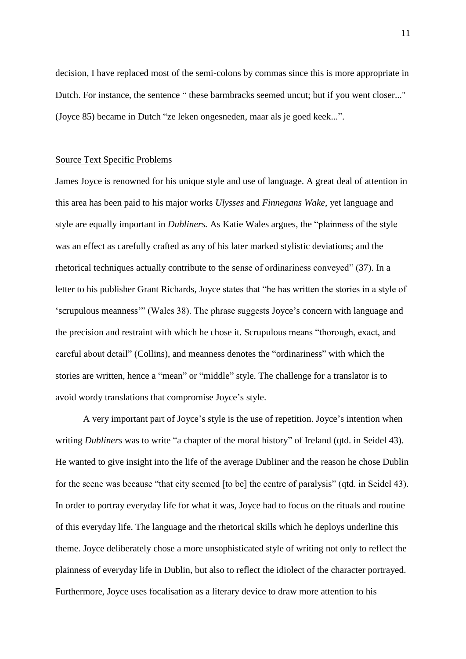decision, I have replaced most of the semi-colons by commas since this is more appropriate in Dutch. For instance, the sentence " these barmbracks seemed uncut; but if you went closer..." (Joyce 85) became in Dutch "ze leken ongesneden, maar als je goed keek...".

#### Source Text Specific Problems

James Joyce is renowned for his unique style and use of language. A great deal of attention in this area has been paid to his major works *Ulysses* and *Finnegans Wake*, yet language and style are equally important in *Dubliners.* As Katie Wales argues, the "plainness of the style was an effect as carefully crafted as any of his later marked stylistic deviations; and the rhetorical techniques actually contribute to the sense of ordinariness conveyed" (37). In a letter to his publisher Grant Richards, Joyce states that "he has written the stories in a style of 'scrupulous meanness'" (Wales 38). The phrase suggests Joyce's concern with language and the precision and restraint with which he chose it. Scrupulous means "thorough, exact, and careful about detail" (Collins), and meanness denotes the "ordinariness" with which the stories are written, hence a "mean" or "middle" style. The challenge for a translator is to avoid wordy translations that compromise Joyce's style.

A very important part of Joyce's style is the use of repetition. Joyce's intention when writing *Dubliners* was to write "a chapter of the moral history" of Ireland (qtd. in Seidel 43). He wanted to give insight into the life of the average Dubliner and the reason he chose Dublin for the scene was because "that city seemed [to be] the centre of paralysis" (qtd. in Seidel 43). In order to portray everyday life for what it was, Joyce had to focus on the rituals and routine of this everyday life. The language and the rhetorical skills which he deploys underline this theme. Joyce deliberately chose a more unsophisticated style of writing not only to reflect the plainness of everyday life in Dublin, but also to reflect the idiolect of the character portrayed. Furthermore, Joyce uses focalisation as a literary device to draw more attention to his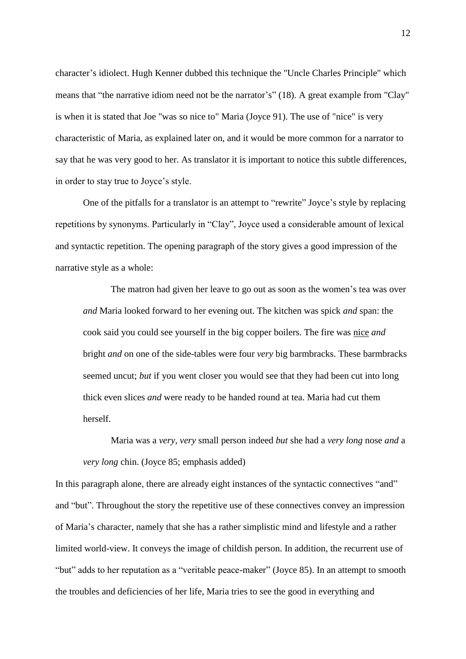character's idiolect. Hugh Kenner dubbed this technique the "Uncle Charles Principle" which means that "the narrative idiom need not be the narrator's" (18). A great example from "Clay" is when it is stated that Joe "was so nice to" Maria (Joyce 91). The use of "nice" is very characteristic of Maria, as explained later on, and it would be more common for a narrator to say that he was very good to her. As translator it is important to notice this subtle differences, in order to stay true to Joyce's style.

One of the pitfalls for a translator is an attempt to "rewrite" Joyce's style by replacing repetitions by synonyms. Particularly in "Clay", Joyce used a considerable amount of lexical and syntactic repetition. The opening paragraph of the story gives a good impression of the narrative style as a whole:

The matron had given her leave to go out as soon as the women's tea was over *and* Maria looked forward to her evening out. The kitchen was spick *and* span: the cook said you could see yourself in the big copper boilers. The fire was nice *and* bright *and* on one of the side-tables were four *very* big barmbracks. These barmbracks seemed uncut; *but* if you went closer you would see that they had been cut into long thick even slices *and* were ready to be handed round at tea. Maria had cut them herself.

Maria was a *very, very* small person indeed *but* she had a *very long* nose *and* a *very long* chin. (Joyce 85; emphasis added)

In this paragraph alone, there are already eight instances of the syntactic connectives "and" and "but". Throughout the story the repetitive use of these connectives convey an impression of Maria's character, namely that she has a rather simplistic mind and lifestyle and a rather limited world-view. It conveys the image of childish person. In addition, the recurrent use of "but" adds to her reputation as a "veritable peace-maker" (Joyce 85). In an attempt to smooth the troubles and deficiencies of her life, Maria tries to see the good in everything and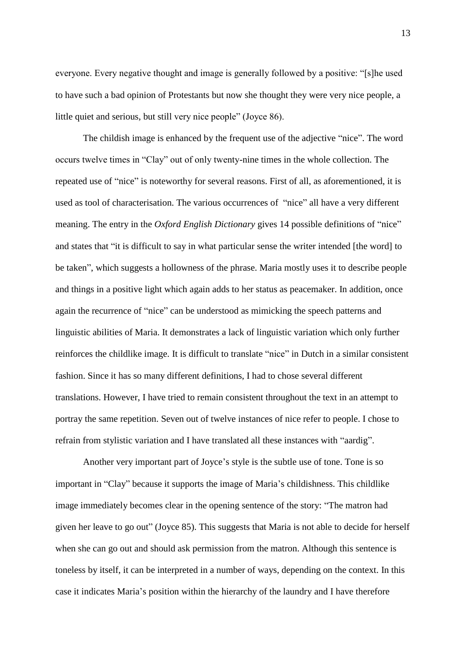everyone. Every negative thought and image is generally followed by a positive: "[s]he used to have such a bad opinion of Protestants but now she thought they were very nice people, a little quiet and serious, but still very nice people" (Joyce 86).

The childish image is enhanced by the frequent use of the adjective "nice". The word occurs twelve times in "Clay" out of only twenty-nine times in the whole collection. The repeated use of "nice" is noteworthy for several reasons. First of all, as aforementioned, it is used as tool of characterisation. The various occurrences of "nice" all have a very different meaning. The entry in the *Oxford English Dictionary* gives 14 possible definitions of "nice" and states that "it is difficult to say in what particular sense the writer intended [the word] to be taken", which suggests a hollowness of the phrase. Maria mostly uses it to describe people and things in a positive light which again adds to her status as peacemaker. In addition, once again the recurrence of "nice" can be understood as mimicking the speech patterns and linguistic abilities of Maria. It demonstrates a lack of linguistic variation which only further reinforces the childlike image. It is difficult to translate "nice" in Dutch in a similar consistent fashion. Since it has so many different definitions, I had to chose several different translations. However, I have tried to remain consistent throughout the text in an attempt to portray the same repetition. Seven out of twelve instances of nice refer to people. I chose to refrain from stylistic variation and I have translated all these instances with "aardig".

Another very important part of Joyce's style is the subtle use of tone. Tone is so important in "Clay" because it supports the image of Maria's childishness. This childlike image immediately becomes clear in the opening sentence of the story: "The matron had given her leave to go out" (Joyce 85). This suggests that Maria is not able to decide for herself when she can go out and should ask permission from the matron. Although this sentence is toneless by itself, it can be interpreted in a number of ways, depending on the context. In this case it indicates Maria's position within the hierarchy of the laundry and I have therefore

13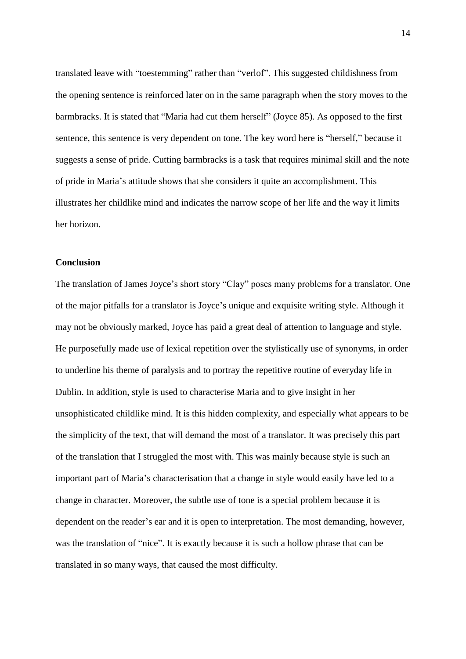translated leave with "toestemming" rather than "verlof". This suggested childishness from the opening sentence is reinforced later on in the same paragraph when the story moves to the barmbracks. It is stated that "Maria had cut them herself" (Joyce 85). As opposed to the first sentence, this sentence is very dependent on tone. The key word here is "herself," because it suggests a sense of pride. Cutting barmbracks is a task that requires minimal skill and the note of pride in Maria's attitude shows that she considers it quite an accomplishment. This illustrates her childlike mind and indicates the narrow scope of her life and the way it limits her horizon.

#### **Conclusion**

The translation of James Joyce's short story "Clay" poses many problems for a translator. One of the major pitfalls for a translator is Joyce's unique and exquisite writing style. Although it may not be obviously marked, Joyce has paid a great deal of attention to language and style. He purposefully made use of lexical repetition over the stylistically use of synonyms, in order to underline his theme of paralysis and to portray the repetitive routine of everyday life in Dublin. In addition, style is used to characterise Maria and to give insight in her unsophisticated childlike mind. It is this hidden complexity, and especially what appears to be the simplicity of the text, that will demand the most of a translator. It was precisely this part of the translation that I struggled the most with. This was mainly because style is such an important part of Maria's characterisation that a change in style would easily have led to a change in character. Moreover, the subtle use of tone is a special problem because it is dependent on the reader's ear and it is open to interpretation. The most demanding, however, was the translation of "nice". It is exactly because it is such a hollow phrase that can be translated in so many ways, that caused the most difficulty.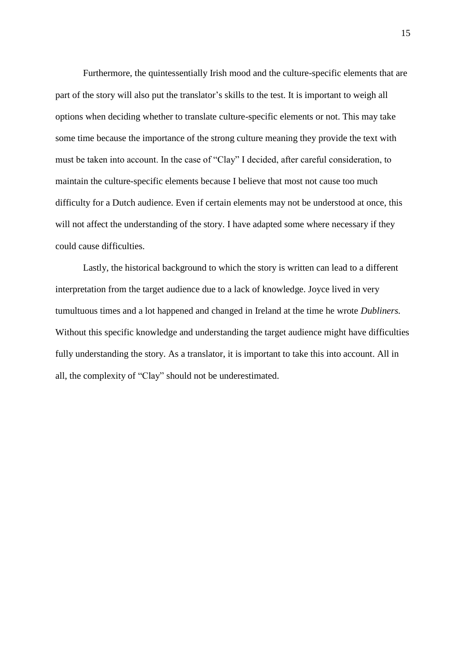Furthermore, the quintessentially Irish mood and the culture-specific elements that are part of the story will also put the translator's skills to the test. It is important to weigh all options when deciding whether to translate culture-specific elements or not. This may take some time because the importance of the strong culture meaning they provide the text with must be taken into account. In the case of "Clay" I decided, after careful consideration, to maintain the culture-specific elements because I believe that most not cause too much difficulty for a Dutch audience. Even if certain elements may not be understood at once, this will not affect the understanding of the story. I have adapted some where necessary if they could cause difficulties.

Lastly, the historical background to which the story is written can lead to a different interpretation from the target audience due to a lack of knowledge. Joyce lived in very tumultuous times and a lot happened and changed in Ireland at the time he wrote *Dubliners.*  Without this specific knowledge and understanding the target audience might have difficulties fully understanding the story. As a translator, it is important to take this into account. All in all, the complexity of "Clay" should not be underestimated.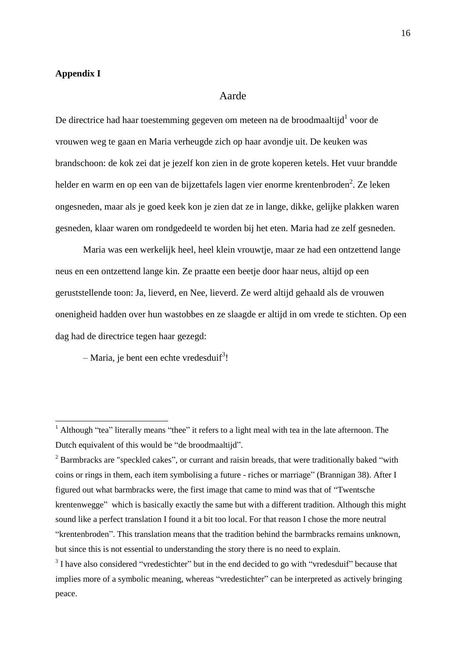#### **Appendix I**

**.** 

#### Aarde

De directrice had haar toestemming gegeven om meteen na de broodmaaltijd $1$  voor de vrouwen weg te gaan en Maria verheugde zich op haar avondje uit. De keuken was brandschoon: de kok zei dat je jezelf kon zien in de grote koperen ketels. Het vuur brandde helder en warm en op een van de bijzettafels lagen vier enorme krentenbroden<sup>2</sup>. Ze leken ongesneden, maar als je goed keek kon je zien dat ze in lange, dikke, gelijke plakken waren gesneden, klaar waren om rondgedeeld te worden bij het eten. Maria had ze zelf gesneden.

Maria was een werkelijk heel, heel klein vrouwtje, maar ze had een ontzettend lange neus en een ontzettend lange kin. Ze praatte een beetje door haar neus, altijd op een geruststellende toon: Ja, lieverd, en Nee, lieverd. Ze werd altijd gehaald als de vrouwen onenigheid hadden over hun wastobbes en ze slaagde er altijd in om vrede te stichten. Op een dag had de directrice tegen haar gezegd:

 $-$  Maria, je bent een echte vredesduif<sup>3</sup>!

 $<sup>1</sup>$  Although "tea" literally means "thee" it refers to a light meal with tea in the late afternoon. The</sup> Dutch equivalent of this would be "de broodmaaltijd".

<sup>&</sup>lt;sup>2</sup> Barmbracks are "speckled cakes", or currant and raisin breads, that were traditionally baked "with coins or rings in them, each item symbolising a future - riches or marriage" (Brannigan 38). After I figured out what barmbracks were, the first image that came to mind was that of "Twentsche krentenwegge" which is basically exactly the same but with a different tradition. Although this might sound like a perfect translation I found it a bit too local. For that reason I chose the more neutral "krentenbroden". This translation means that the tradition behind the barmbracks remains unknown, but since this is not essential to understanding the story there is no need to explain.

 $3$  I have also considered "vredestichter" but in the end decided to go with "vredesduif" because that implies more of a symbolic meaning, whereas "vredestichter" can be interpreted as actively bringing peace.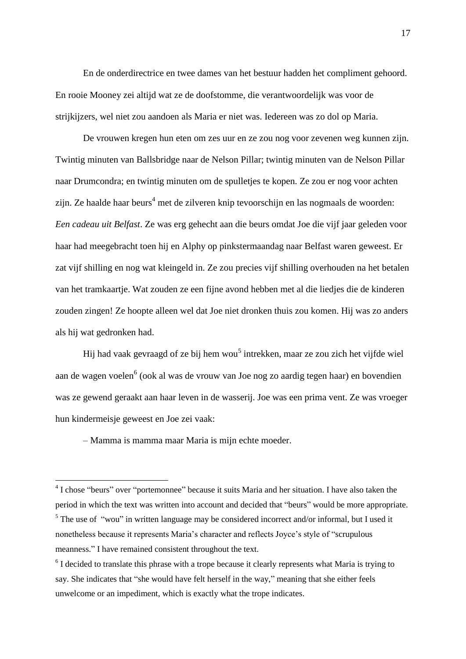En de onderdirectrice en twee dames van het bestuur hadden het compliment gehoord. En rooie Mooney zei altijd wat ze de doofstomme, die verantwoordelijk was voor de strijkijzers, wel niet zou aandoen als Maria er niet was. Iedereen was zo dol op Maria.

De vrouwen kregen hun eten om zes uur en ze zou nog voor zevenen weg kunnen zijn. Twintig minuten van Ballsbridge naar de Nelson Pillar; twintig minuten van de Nelson Pillar naar Drumcondra; en twintig minuten om de spulletjes te kopen. Ze zou er nog voor achten zijn. Ze haalde haar beurs<sup>4</sup> met de zilveren knip tevoorschijn en las nogmaals de woorden: *Een cadeau uit Belfast*. Ze was erg gehecht aan die beurs omdat Joe die vijf jaar geleden voor haar had meegebracht toen hij en Alphy op pinkstermaandag naar Belfast waren geweest. Er zat vijf shilling en nog wat kleingeld in. Ze zou precies vijf shilling overhouden na het betalen van het tramkaartje. Wat zouden ze een fijne avond hebben met al die liedjes die de kinderen zouden zingen! Ze hoopte alleen wel dat Joe niet dronken thuis zou komen. Hij was zo anders als hij wat gedronken had.

Hij had vaak gevraagd of ze bij hem wou<sup>5</sup> intrekken, maar ze zou zich het vijfde wiel aan de wagen voelen<sup>6</sup> (ook al was de vrouw van Joe nog zo aardig tegen haar) en bovendien was ze gewend geraakt aan haar leven in de wasserij. Joe was een prima vent. Ze was vroeger hun kindermeisje geweest en Joe zei vaak:

– Mamma is mamma maar Maria is mijn echte moeder.

**.** 

<sup>&</sup>lt;sup>4</sup> I chose "beurs" over "portemonnee" because it suits Maria and her situation. I have also taken the period in which the text was written into account and decided that "beurs" would be more appropriate. <sup>5</sup> The use of "wou" in written language may be considered incorrect and/or informal, but I used it nonetheless because it represents Maria's character and reflects Joyce's style of "scrupulous meanness." I have remained consistent throughout the text.

<sup>&</sup>lt;sup>6</sup> I decided to translate this phrase with a trope because it clearly represents what Maria is trying to say. She indicates that "she would have felt herself in the way," meaning that she either feels unwelcome or an impediment, which is exactly what the trope indicates.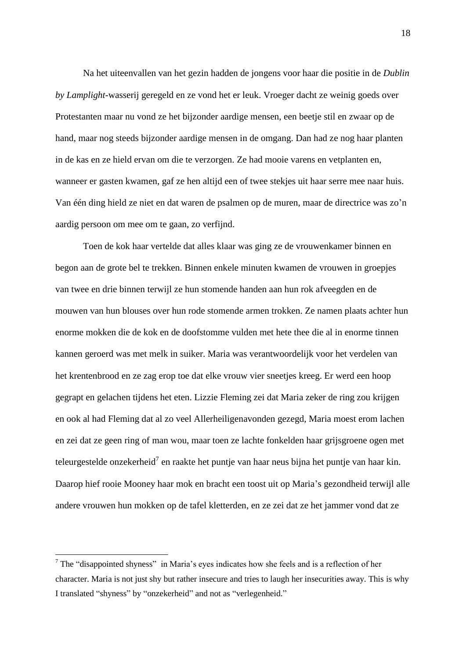Na het uiteenvallen van het gezin hadden de jongens voor haar die positie in de *Dublin by Lamplight-*wasserij geregeld en ze vond het er leuk. Vroeger dacht ze weinig goeds over Protestanten maar nu vond ze het bijzonder aardige mensen, een beetje stil en zwaar op de hand, maar nog steeds bijzonder aardige mensen in de omgang. Dan had ze nog haar planten in de kas en ze hield ervan om die te verzorgen. Ze had mooie varens en vetplanten en, wanneer er gasten kwamen, gaf ze hen altijd een of twee stekjes uit haar serre mee naar huis. Van één ding hield ze niet en dat waren de psalmen op de muren, maar de directrice was zo'n aardig persoon om mee om te gaan, zo verfijnd.

Toen de kok haar vertelde dat alles klaar was ging ze de vrouwenkamer binnen en begon aan de grote bel te trekken. Binnen enkele minuten kwamen de vrouwen in groepjes van twee en drie binnen terwijl ze hun stomende handen aan hun rok afveegden en de mouwen van hun blouses over hun rode stomende armen trokken. Ze namen plaats achter hun enorme mokken die de kok en de doofstomme vulden met hete thee die al in enorme tinnen kannen geroerd was met melk in suiker. Maria was verantwoordelijk voor het verdelen van het krentenbrood en ze zag erop toe dat elke vrouw vier sneetjes kreeg. Er werd een hoop gegrapt en gelachen tijdens het eten. Lizzie Fleming zei dat Maria zeker de ring zou krijgen en ook al had Fleming dat al zo veel Allerheiligenavonden gezegd, Maria moest erom lachen en zei dat ze geen ring of man wou, maar toen ze lachte fonkelden haar grijsgroene ogen met teleurgestelde onzekerheid<sup>7</sup> en raakte het puntje van haar neus bijna het puntje van haar kin. Daarop hief rooie Mooney haar mok en bracht een toost uit op Maria's gezondheid terwijl alle andere vrouwen hun mokken op de tafel kletterden, en ze zei dat ze het jammer vond dat ze

 $\overline{a}$ 

 $<sup>7</sup>$  The "disappointed shyness" in Maria's eyes indicates how she feels and is a reflection of her</sup> character. Maria is not just shy but rather insecure and tries to laugh her insecurities away. This is why I translated "shyness" by "onzekerheid" and not as "verlegenheid."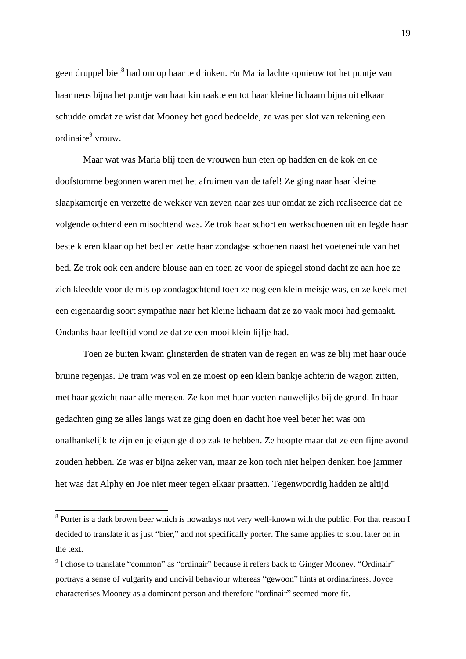geen druppel bier<sup>8</sup> had om op haar te drinken. En Maria lachte opnieuw tot het puntje van haar neus bijna het puntje van haar kin raakte en tot haar kleine lichaam bijna uit elkaar schudde omdat ze wist dat Mooney het goed bedoelde, ze was per slot van rekening een ordinaire<sup>9</sup> vrouw.

Maar wat was Maria blij toen de vrouwen hun eten op hadden en de kok en de doofstomme begonnen waren met het afruimen van de tafel! Ze ging naar haar kleine slaapkamertje en verzette de wekker van zeven naar zes uur omdat ze zich realiseerde dat de volgende ochtend een misochtend was. Ze trok haar schort en werkschoenen uit en legde haar beste kleren klaar op het bed en zette haar zondagse schoenen naast het voeteneinde van het bed. Ze trok ook een andere blouse aan en toen ze voor de spiegel stond dacht ze aan hoe ze zich kleedde voor de mis op zondagochtend toen ze nog een klein meisje was, en ze keek met een eigenaardig soort sympathie naar het kleine lichaam dat ze zo vaak mooi had gemaakt. Ondanks haar leeftijd vond ze dat ze een mooi klein lijfje had.

Toen ze buiten kwam glinsterden de straten van de regen en was ze blij met haar oude bruine regenjas. De tram was vol en ze moest op een klein bankje achterin de wagon zitten, met haar gezicht naar alle mensen. Ze kon met haar voeten nauwelijks bij de grond. In haar gedachten ging ze alles langs wat ze ging doen en dacht hoe veel beter het was om onafhankelijk te zijn en je eigen geld op zak te hebben. Ze hoopte maar dat ze een fijne avond zouden hebben. Ze was er bijna zeker van, maar ze kon toch niet helpen denken hoe jammer het was dat Alphy en Joe niet meer tegen elkaar praatten. Tegenwoordig hadden ze altijd

**.** 

<sup>&</sup>lt;sup>8</sup> Porter is a dark brown beer which is nowadays not very well-known with the public. For that reason I decided to translate it as just "bier," and not specifically porter. The same applies to stout later on in the text.

 $9^9$  I chose to translate "common" as "ordinair" because it refers back to Ginger Mooney. "Ordinair" portrays a sense of vulgarity and uncivil behaviour whereas "gewoon" hints at ordinariness. Joyce characterises Mooney as a dominant person and therefore "ordinair" seemed more fit.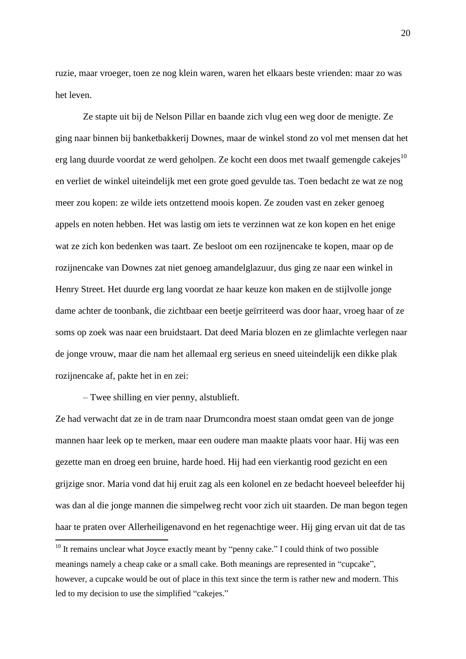ruzie, maar vroeger, toen ze nog klein waren, waren het elkaars beste vrienden: maar zo was het leven.

Ze stapte uit bij de Nelson Pillar en baande zich vlug een weg door de menigte. Ze ging naar binnen bij banketbakkerij Downes, maar de winkel stond zo vol met mensen dat het erg lang duurde voordat ze werd geholpen. Ze kocht een doos met twaalf gemengde cakejes<sup>10</sup> en verliet de winkel uiteindelijk met een grote goed gevulde tas. Toen bedacht ze wat ze nog meer zou kopen: ze wilde iets ontzettend moois kopen. Ze zouden vast en zeker genoeg appels en noten hebben. Het was lastig om iets te verzinnen wat ze kon kopen en het enige wat ze zich kon bedenken was taart. Ze besloot om een rozijnencake te kopen, maar op de rozijnencake van Downes zat niet genoeg amandelglazuur, dus ging ze naar een winkel in Henry Street. Het duurde erg lang voordat ze haar keuze kon maken en de stijlvolle jonge dame achter de toonbank, die zichtbaar een beetje geïrriteerd was door haar, vroeg haar of ze soms op zoek was naar een bruidstaart. Dat deed Maria blozen en ze glimlachte verlegen naar de jonge vrouw, maar die nam het allemaal erg serieus en sneed uiteindelijk een dikke plak rozijnencake af, pakte het in en zei:

– Twee shilling en vier penny, alstublieft.

**.** 

Ze had verwacht dat ze in de tram naar Drumcondra moest staan omdat geen van de jonge mannen haar leek op te merken, maar een oudere man maakte plaats voor haar. Hij was een gezette man en droeg een bruine, harde hoed. Hij had een vierkantig rood gezicht en een grijzige snor. Maria vond dat hij eruit zag als een kolonel en ze bedacht hoeveel beleefder hij was dan al die jonge mannen die simpelweg recht voor zich uit staarden. De man begon tegen haar te praten over Allerheiligenavond en het regenachtige weer. Hij ging ervan uit dat de tas

<sup>&</sup>lt;sup>10</sup> It remains unclear what Joyce exactly meant by "penny cake." I could think of two possible meanings namely a cheap cake or a small cake. Both meanings are represented in "cupcake", however, a cupcake would be out of place in this text since the term is rather new and modern. This led to my decision to use the simplified "cakejes."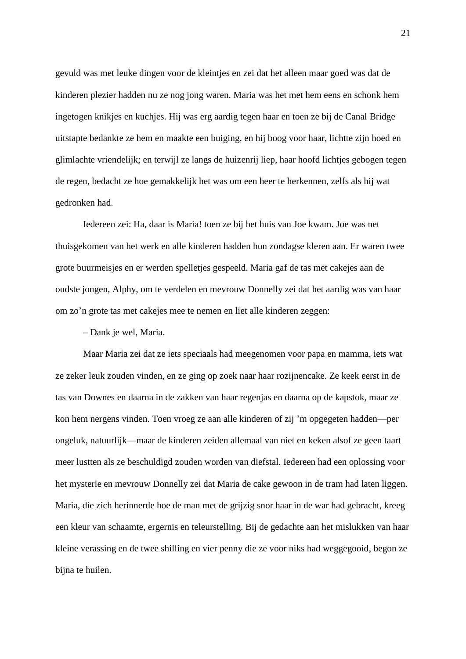gevuld was met leuke dingen voor de kleintjes en zei dat het alleen maar goed was dat de kinderen plezier hadden nu ze nog jong waren. Maria was het met hem eens en schonk hem ingetogen knikjes en kuchjes. Hij was erg aardig tegen haar en toen ze bij de Canal Bridge uitstapte bedankte ze hem en maakte een buiging, en hij boog voor haar, lichtte zijn hoed en glimlachte vriendelijk; en terwijl ze langs de huizenrij liep, haar hoofd lichtjes gebogen tegen de regen, bedacht ze hoe gemakkelijk het was om een heer te herkennen, zelfs als hij wat gedronken had.

Iedereen zei: Ha, daar is Maria! toen ze bij het huis van Joe kwam. Joe was net thuisgekomen van het werk en alle kinderen hadden hun zondagse kleren aan. Er waren twee grote buurmeisjes en er werden spelletjes gespeeld. Maria gaf de tas met cakejes aan de oudste jongen, Alphy, om te verdelen en mevrouw Donnelly zei dat het aardig was van haar om zo'n grote tas met cakejes mee te nemen en liet alle kinderen zeggen:

– Dank je wel, Maria.

Maar Maria zei dat ze iets speciaals had meegenomen voor papa en mamma, iets wat ze zeker leuk zouden vinden, en ze ging op zoek naar haar rozijnencake. Ze keek eerst in de tas van Downes en daarna in de zakken van haar regenjas en daarna op de kapstok, maar ze kon hem nergens vinden. Toen vroeg ze aan alle kinderen of zij 'm opgegeten hadden—per ongeluk, natuurlijk—maar de kinderen zeiden allemaal van niet en keken alsof ze geen taart meer lustten als ze beschuldigd zouden worden van diefstal. Iedereen had een oplossing voor het mysterie en mevrouw Donnelly zei dat Maria de cake gewoon in de tram had laten liggen. Maria, die zich herinnerde hoe de man met de grijzig snor haar in de war had gebracht, kreeg een kleur van schaamte, ergernis en teleurstelling. Bij de gedachte aan het mislukken van haar kleine verassing en de twee shilling en vier penny die ze voor niks had weggegooid, begon ze bijna te huilen.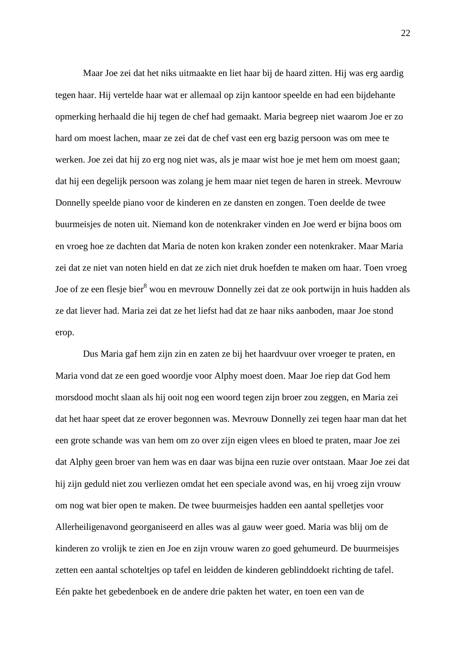Maar Joe zei dat het niks uitmaakte en liet haar bij de haard zitten. Hij was erg aardig tegen haar. Hij vertelde haar wat er allemaal op zijn kantoor speelde en had een bijdehante opmerking herhaald die hij tegen de chef had gemaakt. Maria begreep niet waarom Joe er zo hard om moest lachen, maar ze zei dat de chef vast een erg bazig persoon was om mee te werken. Joe zei dat hij zo erg nog niet was, als je maar wist hoe je met hem om moest gaan; dat hij een degelijk persoon was zolang je hem maar niet tegen de haren in streek. Mevrouw Donnelly speelde piano voor de kinderen en ze dansten en zongen. Toen deelde de twee buurmeisjes de noten uit. Niemand kon de notenkraker vinden en Joe werd er bijna boos om en vroeg hoe ze dachten dat Maria de noten kon kraken zonder een notenkraker. Maar Maria zei dat ze niet van noten hield en dat ze zich niet druk hoefden te maken om haar. Toen vroeg Joe of ze een flesje bier<sup>8</sup> wou en mevrouw Donnelly zei dat ze ook portwijn in huis hadden als ze dat liever had. Maria zei dat ze het liefst had dat ze haar niks aanboden, maar Joe stond erop.

Dus Maria gaf hem zijn zin en zaten ze bij het haardvuur over vroeger te praten, en Maria vond dat ze een goed woordje voor Alphy moest doen. Maar Joe riep dat God hem morsdood mocht slaan als hij ooit nog een woord tegen zijn broer zou zeggen, en Maria zei dat het haar speet dat ze erover begonnen was. Mevrouw Donnelly zei tegen haar man dat het een grote schande was van hem om zo over zijn eigen vlees en bloed te praten, maar Joe zei dat Alphy geen broer van hem was en daar was bijna een ruzie over ontstaan. Maar Joe zei dat hij zijn geduld niet zou verliezen omdat het een speciale avond was, en hij vroeg zijn vrouw om nog wat bier open te maken. De twee buurmeisjes hadden een aantal spelletjes voor Allerheiligenavond georganiseerd en alles was al gauw weer goed. Maria was blij om de kinderen zo vrolijk te zien en Joe en zijn vrouw waren zo goed gehumeurd. De buurmeisjes zetten een aantal schoteltjes op tafel en leidden de kinderen geblinddoekt richting de tafel. Eén pakte het gebedenboek en de andere drie pakten het water, en toen een van de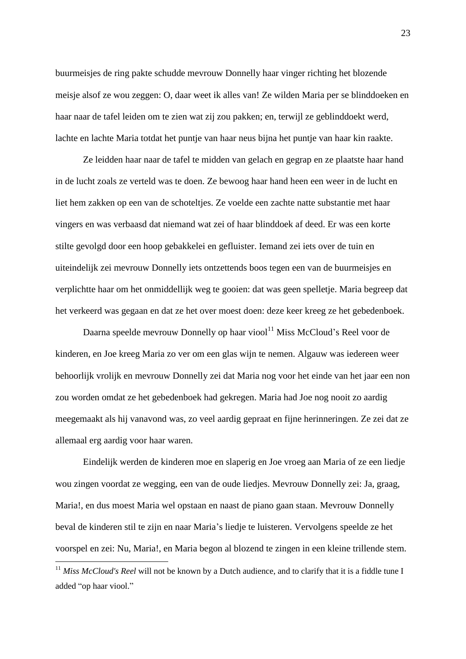buurmeisjes de ring pakte schudde mevrouw Donnelly haar vinger richting het blozende meisje alsof ze wou zeggen: O, daar weet ik alles van! Ze wilden Maria per se blinddoeken en haar naar de tafel leiden om te zien wat zij zou pakken; en, terwijl ze geblinddoekt werd, lachte en lachte Maria totdat het puntje van haar neus bijna het puntje van haar kin raakte.

Ze leidden haar naar de tafel te midden van gelach en gegrap en ze plaatste haar hand in de lucht zoals ze verteld was te doen. Ze bewoog haar hand heen een weer in de lucht en liet hem zakken op een van de schoteltjes. Ze voelde een zachte natte substantie met haar vingers en was verbaasd dat niemand wat zei of haar blinddoek af deed. Er was een korte stilte gevolgd door een hoop gebakkelei en gefluister. Iemand zei iets over de tuin en uiteindelijk zei mevrouw Donnelly iets ontzettends boos tegen een van de buurmeisjes en verplichtte haar om het onmiddellijk weg te gooien: dat was geen spelletje. Maria begreep dat het verkeerd was gegaan en dat ze het over moest doen: deze keer kreeg ze het gebedenboek.

Daarna speelde mevrouw Donnelly op haar viool<sup>11</sup> Miss McCloud's Reel voor de kinderen, en Joe kreeg Maria zo ver om een glas wijn te nemen. Algauw was iedereen weer behoorlijk vrolijk en mevrouw Donnelly zei dat Maria nog voor het einde van het jaar een non zou worden omdat ze het gebedenboek had gekregen. Maria had Joe nog nooit zo aardig meegemaakt als hij vanavond was, zo veel aardig gepraat en fijne herinneringen. Ze zei dat ze allemaal erg aardig voor haar waren.

Eindelijk werden de kinderen moe en slaperig en Joe vroeg aan Maria of ze een liedje wou zingen voordat ze wegging, een van de oude liedjes. Mevrouw Donnelly zei: Ja, graag, Maria!, en dus moest Maria wel opstaan en naast de piano gaan staan. Mevrouw Donnelly beval de kinderen stil te zijn en naar Maria's liedje te luisteren. Vervolgens speelde ze het voorspel en zei: Nu, Maria!, en Maria begon al blozend te zingen in een kleine trillende stem.

 $\overline{a}$ 

<sup>&</sup>lt;sup>11</sup> Miss McCloud's Reel will not be known by a Dutch audience, and to clarify that it is a fiddle tune I added "op haar viool."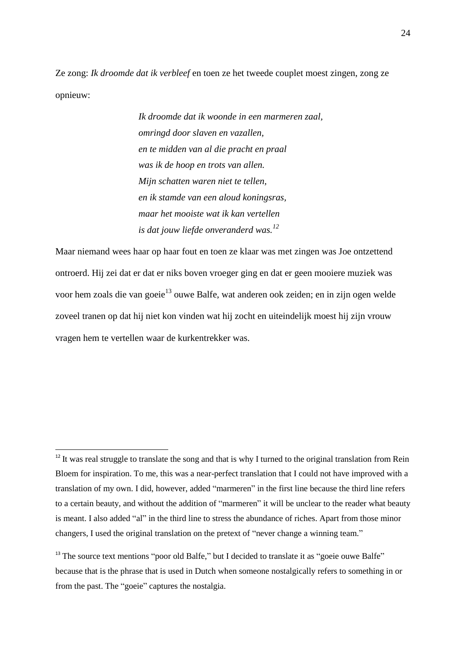Ze zong: *Ik droomde dat ik verbleef* en toen ze het tweede couplet moest zingen, zong ze opnieuw:

> *Ik droomde dat ik woonde in een marmeren zaal, omringd door slaven en vazallen, en te midden van al die pracht en praal was ik de hoop en trots van allen. Mijn schatten waren niet te tellen, en ik stamde van een aloud koningsras, maar het mooiste wat ik kan vertellen is dat jouw liefde onveranderd was.<sup>12</sup>*

Maar niemand wees haar op haar fout en toen ze klaar was met zingen was Joe ontzettend ontroerd. Hij zei dat er dat er niks boven vroeger ging en dat er geen mooiere muziek was voor hem zoals die van goeie<sup>13</sup> ouwe Balfe, wat anderen ook zeiden; en in zijn ogen welde zoveel tranen op dat hij niet kon vinden wat hij zocht en uiteindelijk moest hij zijn vrouw vragen hem te vertellen waar de kurkentrekker was.

**.** 

<sup>&</sup>lt;sup>12</sup> It was real struggle to translate the song and that is why I turned to the original translation from Rein Bloem for inspiration. To me, this was a near-perfect translation that I could not have improved with a translation of my own. I did, however, added "marmeren" in the first line because the third line refers to a certain beauty, and without the addition of "marmeren" it will be unclear to the reader what beauty is meant. I also added "al" in the third line to stress the abundance of riches. Apart from those minor changers, I used the original translation on the pretext of "never change a winning team."

<sup>&</sup>lt;sup>13</sup> The source text mentions "poor old Balfe," but I decided to translate it as "goeie ouwe Balfe" because that is the phrase that is used in Dutch when someone nostalgically refers to something in or from the past. The "goeie" captures the nostalgia.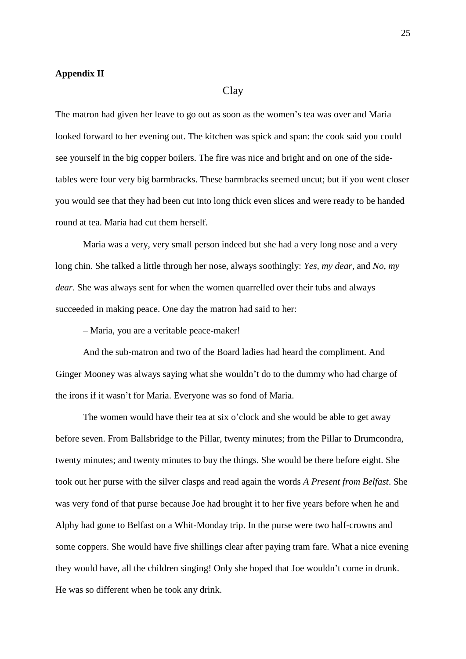#### **Appendix II**

#### Clay

The matron had given her leave to go out as soon as the women's tea was over and Maria looked forward to her evening out. The kitchen was spick and span: the cook said you could see yourself in the big copper boilers. The fire was nice and bright and on one of the sidetables were four very big barmbracks. These barmbracks seemed uncut; but if you went closer you would see that they had been cut into long thick even slices and were ready to be handed round at tea. Maria had cut them herself.

Maria was a very, very small person indeed but she had a very long nose and a very long chin. She talked a little through her nose, always soothingly: *Yes, my dear*, and *No, my dear*. She was always sent for when the women quarrelled over their tubs and always succeeded in making peace. One day the matron had said to her:

– Maria, you are a veritable peace-maker!

And the sub-matron and two of the Board ladies had heard the compliment. And Ginger Mooney was always saying what she wouldn't do to the dummy who had charge of the irons if it wasn't for Maria. Everyone was so fond of Maria.

The women would have their tea at six o'clock and she would be able to get away before seven. From Ballsbridge to the Pillar, twenty minutes; from the Pillar to Drumcondra, twenty minutes; and twenty minutes to buy the things. She would be there before eight. She took out her purse with the silver clasps and read again the words *A Present from Belfast*. She was very fond of that purse because Joe had brought it to her five years before when he and Alphy had gone to Belfast on a Whit-Monday trip. In the purse were two half-crowns and some coppers. She would have five shillings clear after paying tram fare. What a nice evening they would have, all the children singing! Only she hoped that Joe wouldn't come in drunk. He was so different when he took any drink.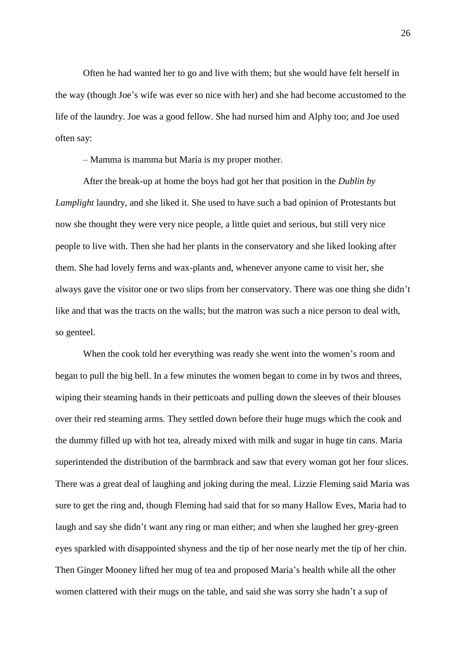Often he had wanted her to go and live with them; but she would have felt herself in the way (though Joe's wife was ever so nice with her) and she had become accustomed to the life of the laundry. Joe was a good fellow. She had nursed him and Alphy too; and Joe used often say:

– Mamma is mamma but Maria is my proper mother.

After the break-up at home the boys had got her that position in the *Dublin by Lamplight* laundry, and she liked it. She used to have such a bad opinion of Protestants but now she thought they were very nice people, a little quiet and serious, but still very nice people to live with. Then she had her plants in the conservatory and she liked looking after them. She had lovely ferns and wax-plants and, whenever anyone came to visit her, she always gave the visitor one or two slips from her conservatory. There was one thing she didn't like and that was the tracts on the walls; but the matron was such a nice person to deal with, so genteel.

When the cook told her everything was ready she went into the women's room and began to pull the big bell. In a few minutes the women began to come in by twos and threes, wiping their steaming hands in their petticoats and pulling down the sleeves of their blouses over their red steaming arms. They settled down before their huge mugs which the cook and the dummy filled up with hot tea, already mixed with milk and sugar in huge tin cans. Maria superintended the distribution of the barmbrack and saw that every woman got her four slices. There was a great deal of laughing and joking during the meal. Lizzie Fleming said Maria was sure to get the ring and, though Fleming had said that for so many Hallow Eves, Maria had to laugh and say she didn't want any ring or man either; and when she laughed her grey-green eyes sparkled with disappointed shyness and the tip of her nose nearly met the tip of her chin. Then Ginger Mooney lifted her mug of tea and proposed Maria's health while all the other women clattered with their mugs on the table, and said she was sorry she hadn't a sup of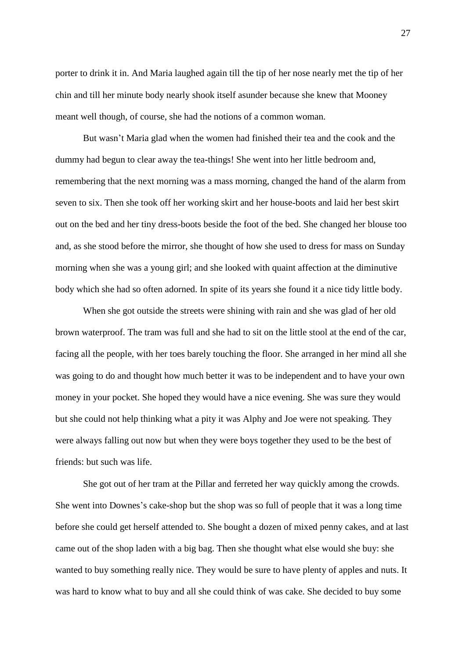porter to drink it in. And Maria laughed again till the tip of her nose nearly met the tip of her chin and till her minute body nearly shook itself asunder because she knew that Mooney meant well though, of course, she had the notions of a common woman.

But wasn't Maria glad when the women had finished their tea and the cook and the dummy had begun to clear away the tea-things! She went into her little bedroom and, remembering that the next morning was a mass morning, changed the hand of the alarm from seven to six. Then she took off her working skirt and her house-boots and laid her best skirt out on the bed and her tiny dress-boots beside the foot of the bed. She changed her blouse too and, as she stood before the mirror, she thought of how she used to dress for mass on Sunday morning when she was a young girl; and she looked with quaint affection at the diminutive body which she had so often adorned. In spite of its years she found it a nice tidy little body.

When she got outside the streets were shining with rain and she was glad of her old brown waterproof. The tram was full and she had to sit on the little stool at the end of the car, facing all the people, with her toes barely touching the floor. She arranged in her mind all she was going to do and thought how much better it was to be independent and to have your own money in your pocket. She hoped they would have a nice evening. She was sure they would but she could not help thinking what a pity it was Alphy and Joe were not speaking. They were always falling out now but when they were boys together they used to be the best of friends: but such was life.

She got out of her tram at the Pillar and ferreted her way quickly among the crowds. She went into Downes's cake-shop but the shop was so full of people that it was a long time before she could get herself attended to. She bought a dozen of mixed penny cakes, and at last came out of the shop laden with a big bag. Then she thought what else would she buy: she wanted to buy something really nice. They would be sure to have plenty of apples and nuts. It was hard to know what to buy and all she could think of was cake. She decided to buy some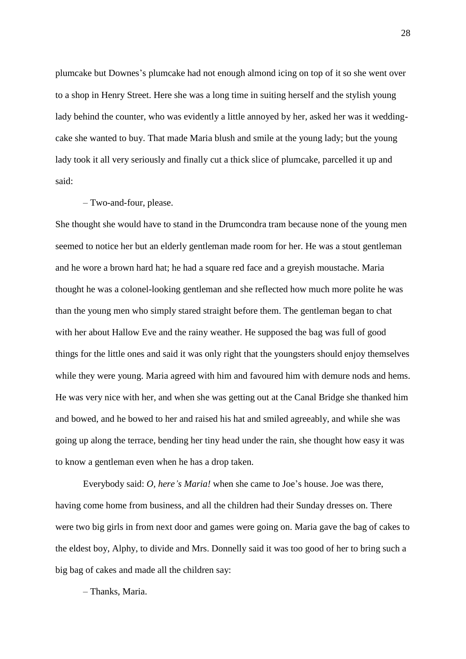plumcake but Downes's plumcake had not enough almond icing on top of it so she went over to a shop in Henry Street. Here she was a long time in suiting herself and the stylish young lady behind the counter, who was evidently a little annoyed by her, asked her was it weddingcake she wanted to buy. That made Maria blush and smile at the young lady; but the young lady took it all very seriously and finally cut a thick slice of plumcake, parcelled it up and said:

#### – Two-and-four, please.

She thought she would have to stand in the Drumcondra tram because none of the young men seemed to notice her but an elderly gentleman made room for her. He was a stout gentleman and he wore a brown hard hat; he had a square red face and a greyish moustache. Maria thought he was a colonel-looking gentleman and she reflected how much more polite he was than the young men who simply stared straight before them. The gentleman began to chat with her about Hallow Eve and the rainy weather. He supposed the bag was full of good things for the little ones and said it was only right that the youngsters should enjoy themselves while they were young. Maria agreed with him and favoured him with demure nods and hems. He was very nice with her, and when she was getting out at the Canal Bridge she thanked him and bowed, and he bowed to her and raised his hat and smiled agreeably, and while she was going up along the terrace, bending her tiny head under the rain, she thought how easy it was to know a gentleman even when he has a drop taken.

Everybody said: *O, here's Maria!* when she came to Joe's house. Joe was there, having come home from business, and all the children had their Sunday dresses on. There were two big girls in from next door and games were going on. Maria gave the bag of cakes to the eldest boy, Alphy, to divide and Mrs. Donnelly said it was too good of her to bring such a big bag of cakes and made all the children say:

– Thanks, Maria.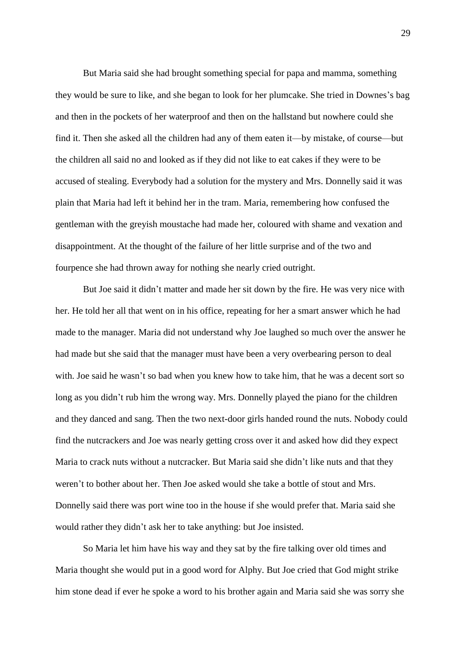But Maria said she had brought something special for papa and mamma, something they would be sure to like, and she began to look for her plumcake. She tried in Downes's bag and then in the pockets of her waterproof and then on the hallstand but nowhere could she find it. Then she asked all the children had any of them eaten it—by mistake, of course—but the children all said no and looked as if they did not like to eat cakes if they were to be accused of stealing. Everybody had a solution for the mystery and Mrs. Donnelly said it was plain that Maria had left it behind her in the tram. Maria, remembering how confused the gentleman with the greyish moustache had made her, coloured with shame and vexation and disappointment. At the thought of the failure of her little surprise and of the two and fourpence she had thrown away for nothing she nearly cried outright.

But Joe said it didn't matter and made her sit down by the fire. He was very nice with her. He told her all that went on in his office, repeating for her a smart answer which he had made to the manager. Maria did not understand why Joe laughed so much over the answer he had made but she said that the manager must have been a very overbearing person to deal with. Joe said he wasn't so bad when you knew how to take him, that he was a decent sort so long as you didn't rub him the wrong way. Mrs. Donnelly played the piano for the children and they danced and sang. Then the two next-door girls handed round the nuts. Nobody could find the nutcrackers and Joe was nearly getting cross over it and asked how did they expect Maria to crack nuts without a nutcracker. But Maria said she didn't like nuts and that they weren't to bother about her. Then Joe asked would she take a bottle of stout and Mrs. Donnelly said there was port wine too in the house if she would prefer that. Maria said she would rather they didn't ask her to take anything: but Joe insisted.

So Maria let him have his way and they sat by the fire talking over old times and Maria thought she would put in a good word for Alphy. But Joe cried that God might strike him stone dead if ever he spoke a word to his brother again and Maria said she was sorry she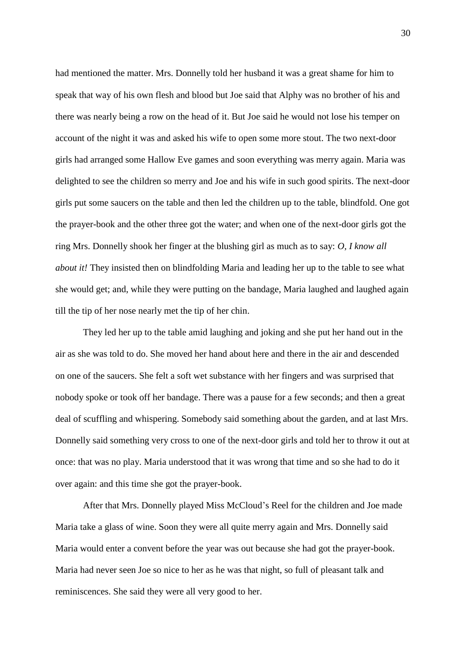had mentioned the matter. Mrs. Donnelly told her husband it was a great shame for him to speak that way of his own flesh and blood but Joe said that Alphy was no brother of his and there was nearly being a row on the head of it. But Joe said he would not lose his temper on account of the night it was and asked his wife to open some more stout. The two next-door girls had arranged some Hallow Eve games and soon everything was merry again. Maria was delighted to see the children so merry and Joe and his wife in such good spirits. The next-door girls put some saucers on the table and then led the children up to the table, blindfold. One got the prayer-book and the other three got the water; and when one of the next-door girls got the ring Mrs. Donnelly shook her finger at the blushing girl as much as to say: *O, I know all about it!* They insisted then on blindfolding Maria and leading her up to the table to see what she would get; and, while they were putting on the bandage, Maria laughed and laughed again till the tip of her nose nearly met the tip of her chin.

They led her up to the table amid laughing and joking and she put her hand out in the air as she was told to do. She moved her hand about here and there in the air and descended on one of the saucers. She felt a soft wet substance with her fingers and was surprised that nobody spoke or took off her bandage. There was a pause for a few seconds; and then a great deal of scuffling and whispering. Somebody said something about the garden, and at last Mrs. Donnelly said something very cross to one of the next-door girls and told her to throw it out at once: that was no play. Maria understood that it was wrong that time and so she had to do it over again: and this time she got the prayer-book.

After that Mrs. Donnelly played Miss McCloud's Reel for the children and Joe made Maria take a glass of wine. Soon they were all quite merry again and Mrs. Donnelly said Maria would enter a convent before the year was out because she had got the prayer-book. Maria had never seen Joe so nice to her as he was that night, so full of pleasant talk and reminiscences. She said they were all very good to her.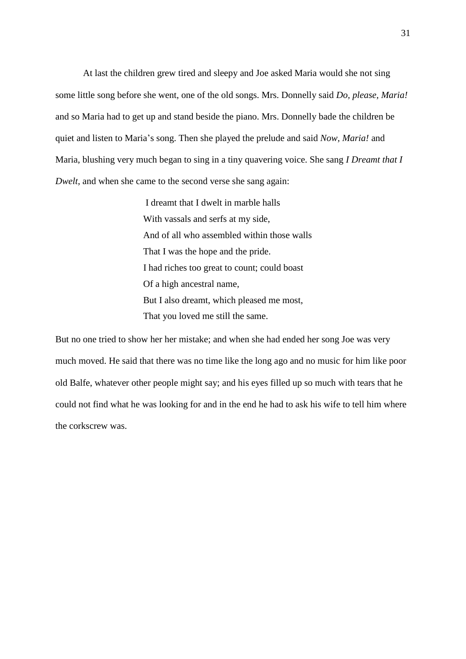At last the children grew tired and sleepy and Joe asked Maria would she not sing some little song before she went, one of the old songs. Mrs. Donnelly said *Do, please, Maria!* and so Maria had to get up and stand beside the piano. Mrs. Donnelly bade the children be quiet and listen to Maria's song. Then she played the prelude and said *Now, Maria!* and Maria, blushing very much began to sing in a tiny quavering voice. She sang *I Dreamt that I Dwelt*, and when she came to the second verse she sang again:

> I dreamt that I dwelt in marble halls With vassals and serfs at my side, And of all who assembled within those walls That I was the hope and the pride. I had riches too great to count; could boast Of a high ancestral name, But I also dreamt, which pleased me most, That you loved me still the same.

But no one tried to show her her mistake; and when she had ended her song Joe was very much moved. He said that there was no time like the long ago and no music for him like poor old Balfe, whatever other people might say; and his eyes filled up so much with tears that he could not find what he was looking for and in the end he had to ask his wife to tell him where the corkscrew was.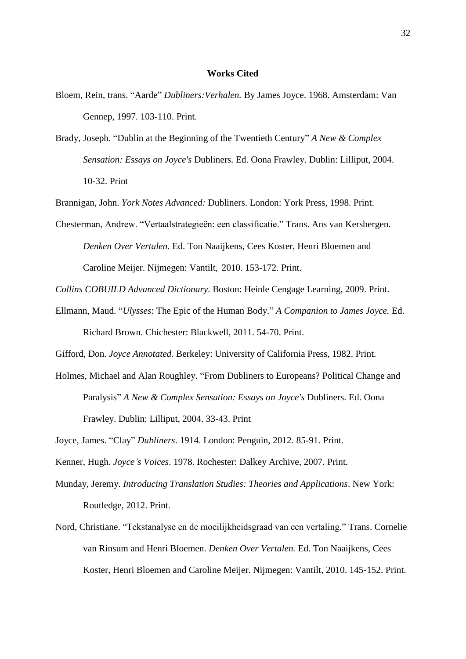#### **Works Cited**

- Bloem, Rein, trans. "Aarde" *Dubliners:Verhalen.* By James Joyce. 1968. Amsterdam: Van Gennep, 1997. 103-110. Print.
- Brady, Joseph. "Dublin at the Beginning of the Twentieth Century" *A New & Complex Sensation: Essays on Joyce's* Dubliners. Ed. Oona Frawley. Dublin: Lilliput, 2004. 10-32. Print

Brannigan, John. *York Notes Advanced:* Dubliners. London: York Press, 1998. Print.

Chesterman, Andrew. "Vertaalstrategieën: een classificatie." Trans. Ans van Kersbergen. *Denken Over Vertalen.* Ed. Ton Naaijkens, Cees Koster, Henri Bloemen and Caroline Meijer. Nijmegen: Vantilt, 2010. 153-172. Print.

*Collins COBUILD Advanced Dictionary*. Boston: Heinle Cengage Learning, 2009. Print.

Ellmann, Maud. "*Ulysses*: The Epic of the Human Body." *A Companion to James Joyce.* Ed. Richard Brown. Chichester: Blackwell, 2011. 54-70. Print.

Gifford, Don. *Joyce Annotated.* Berkeley: University of California Press, 1982. Print.

Holmes, Michael and Alan Roughley. "From Dubliners to Europeans? Political Change and Paralysis" *A New & Complex Sensation: Essays on Joyce's* Dubliners. Ed. Oona Frawley. Dublin: Lilliput, 2004. 33-43. Print

Joyce, James. "Clay" *Dubliners*. 1914. London: Penguin, 2012. 85-91. Print.

Kenner, Hugh. *Joyce's Voices*. 1978. Rochester: Dalkey Archive, 2007. Print.

- Munday, Jeremy. *Introducing Translation Studies: Theories and Applications*. New York: Routledge, 2012. Print.
- Nord, Christiane. "Tekstanalyse en de moeilijkheidsgraad van een vertaling." Trans. Cornelie van Rinsum and Henri Bloemen. *Denken Over Vertalen.* Ed. Ton Naaijkens, Cees Koster, Henri Bloemen and Caroline Meijer. Nijmegen: Vantilt, 2010. 145-152. Print.